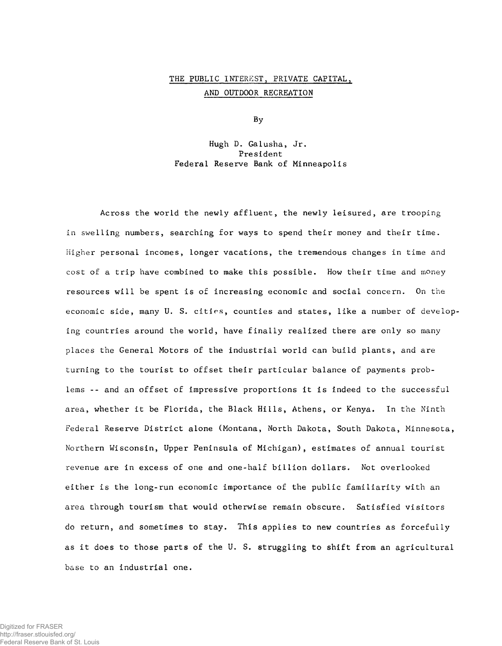## THE PUBLIC INTEREST, PRIVATE CAPITAL, AND OUTDOOR RECREATION

By

Hugh D. Galusha, Jr. President Federal Reserve Bank of Minneapolis

Across the world the newly affluent, the newly leisured, are trooping in swelling numbers, searching for ways to spend their money and their time. Higher personal incomes, longer vacations, the tremendous changes in time and cost of a trip have combined to make this possible. How their time and money resources will be spent is of increasing economic and social concern. On the economic side, many U. S. cities, counties and states, like a number of developing countries around the world, have finally realized there are only so many places the General Motors of the industrial world can build plants, and are turning to the tourist to offset their particular balance of payments problems -- and an offset of impressive proportions it is indeed to the successful area, whether it be Florida, the Black Hills, Athens, or Kenya. In the Ninth Federal Reserve District alone (Montana, North Dakota, South Dakota, Minnesota, Northern Wisconsin, Upper Peninsula of Michigan), estimates of annual tourist revenue are in excess of one and one-half billion dollars. Not overlooked either is the long-run economic importance of the public familiarity with an area through tourism that would otherwise remain obscure. Satisfied visitors do return, and sometimes to stay. This applies to new countries as forcefully as it does to those parts of the U. S. struggling to shift from an agricultural base to an industrial one.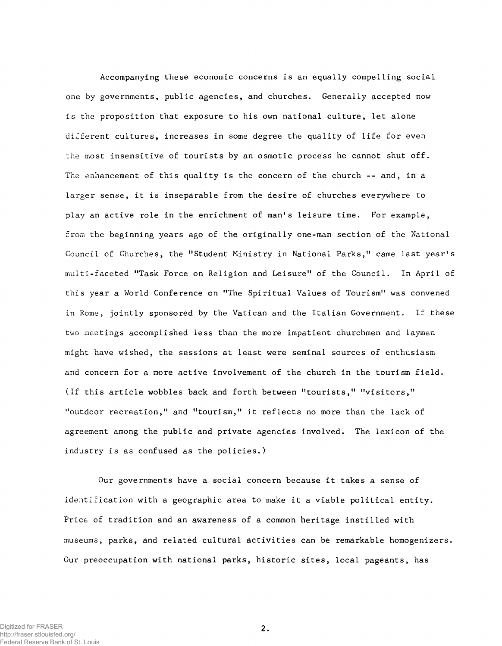Accompanying these economic concerns is an equally compelling social one by governments, public agencies, and churches. Generally accepted now is the proposition that exposure to his own national culture, let alone different cultures, increases in some degree the quality of life for even the most insensitive of tourists by an osmotic process he cannot shut off. The enhancement of this quality is the concern of the church -- and, in a larger sense, it is inseparable from the desire of churches everywhere to play an active role in the enrichment of man's leisure time. For example, from the beginning years ago of the originally one-man section of the National Council of Churches, the "Student Ministry in National Parks," came last year's multi-faceted "Task Force on Religion and Leisure" of the Council. In April of this year a World Conference on "The Spiritual Values of Tourism" was convened in Rome, jointly sponsored by the Vatican and the Italian Government. If these two meetings accomplished less than the more impatient churchmen and laymen might have wished, the sessions at least were seminal sources of enthusiasm and concern for a more active involvement of the church in the tourism field. (If this article wobbles back and forth between "tourists," "visitors," "outdoor recreation," and "tourism," it reflects no more than the lack of agreement among the public and private agencies involved. The lexicon of the industry is as confused as the policies.)

Our governments have a social concern because it takes a sense of identification with a geographic area to make it a viable political entity. Price of tradition and an awareness of a common heritage instilled with museums, parks, and related cultural activities can be remarkable homogenizers. Our preoccupation with national parks, historic sites, local pageants, has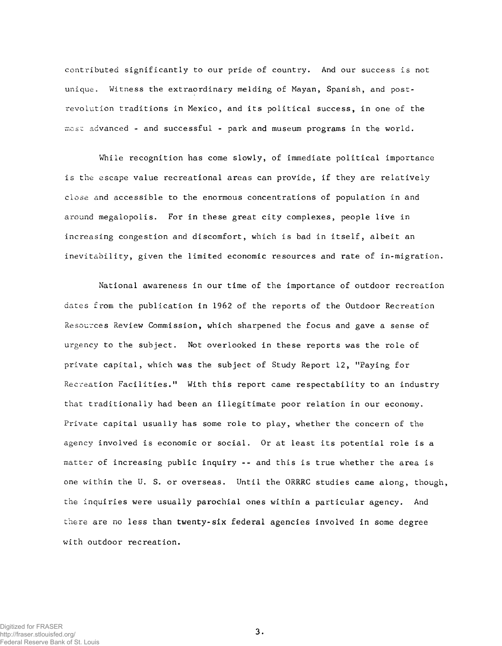contributed significantly to our pride of country. And our success is not unique. Witness the extraordinary melding of Mayan, Spanish, and postrevolution traditions in Mexico, and its political success, in one of the most advanced - and successful - park and museum programs in the world.

While recognition has come slowly, of immediate political importance is the escape value recreational areas can provide, if they are relatively close and accessible to the enormous concentrations of population in and around megalopolis. For in these great city complexes, people live in increasing congestion and discomfort, which is bad in itself, albeit an inevitability, given the limited economic resources and rate of in-migration.

National awareness in our time of the importance of outdoor recreation dates from the publication in 1962 of the reports of the Outdoor Recreation Resources Review Commission, which sharpened the focus and gave a sense of urgency to the subject. Not overlooked in these reports was the role of private capital, which was the subject of Study Report 12, "Paying for Recreation Facilities." With this report came respectability to an industry that traditionally had been an illegitimate poor relation in our economy. Private capital usually has some role to play, whether the concern of the agency involved is economic or social. Or at least its potential role is a matter of increasing public inquiry -- and this is true whether the area is one within the U. S. or overseas. Until the ORRRC studies came along, though, the inquiries were usually parochial ones within a particular agency. And there are no less than twenty-six federal agencies involved in some degree with outdoor recreation.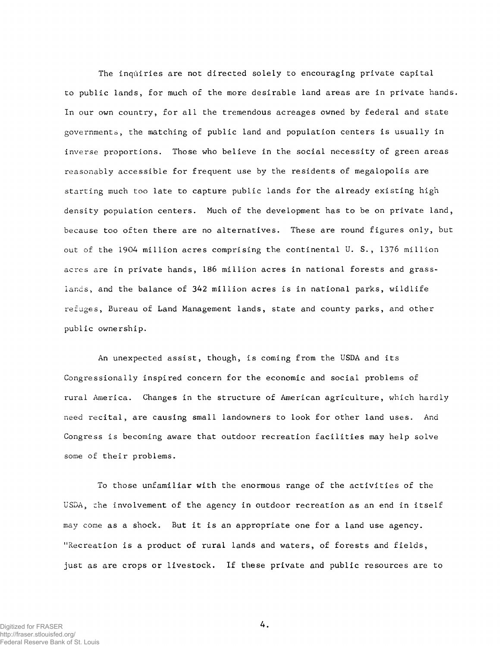The inquiries are not directed solely to encouraging private capital to public lands, for much of the more desirable land areas are in private hands. In our own country, for all the tremendous acreages owned by federal and state governments, the matching of public land and population centers is usually in inverse proportions. Those who believe in the social necessity of green areas reasonably accessible for frequent use by the residents of megalopolis are starting much too late to capture public lands for the already existing high density population centers. Much of the development has to be on private land, because too often there are no alternatives. These are round figures only, but out of the 1904 million acres comprising the continental U.S., 1376 million acres are in private hands, 186 million acres in national forests and grasslands, and the balance of 342 million acres is in national parks, wildlife refuges, Bureau of Land Management lands, state and county parks, and other public ownership.

An unexpected assist, though, is coming from the USDA and its Congressionally inspired concern for the economic and social problems of rural America. Changes in the structure of American agriculture, which hardly need recital, are causing small landowners to look for other land uses. And Congress is becoming aware that outdoor recreation facilities may help solve some of their problems.

To those unfamiliar with the enormous range of the activities of the USDA, the involvement of the agency in outdoor recreation as an end in itself may come as a shock. But it is an appropriate one for a land use agency. "Recreation is a product of rural lands and waters, of forests and fields, just as are crops or livestock. If these private and public resources are to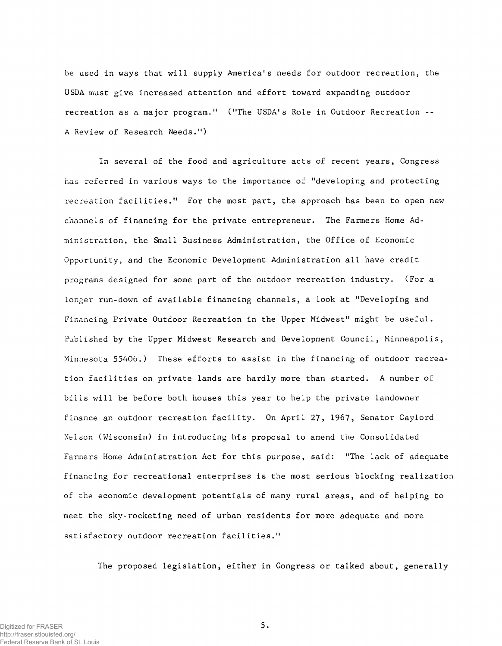be used in ways that will supply America's needs for outdoor recreation, the USDA must give increased attention and effort toward expanding outdoor recreation as a major program." ("The USDA's Role in Outdoor Recreation --A Review of Research Needs.")

In several of the food and agriculture acts of recent years, Congress has referred in various ways to the importance of "developing and protecting recreation facilities." For the most part, the approach has been to open new channels of financing for the private entrepreneur. The Farmers Home Administration, the Small Business Administration, the Office of Economic Opportunity, and the Economic Development Administration all have credit programs designed for some part of the outdoor recreation industry. (For a longer run-down of available financing channels, a look at "Developing and Financing Private Outdoor Recreation in the Upper Midwest" might be useful. Published by the Upper Midwest Research and Development Council, Minneapolis, Minnesota 55406.) These efforts to assist in the financing of outdoor recreation facilities on private lands are hardly more than started. A number of bills will be before both houses this year to help the private landowner finance an outdoor recreation facility. On April 27, 1967, Senator Gaylord Nelson (Wisconsin) in introducing his proposal to amend the Consolidated Farmers Home Administration Act for this purpose, said: "The lack of adequate financing for recreational enterprises is the most serious blocking realization of the economic development potentials of many rural areas, and of helping to meet the sky-rocketing need of urban residents for more adequate and more satisfactory outdoor recreation facilities."

The proposed legislation, either in Congress or talked about, generally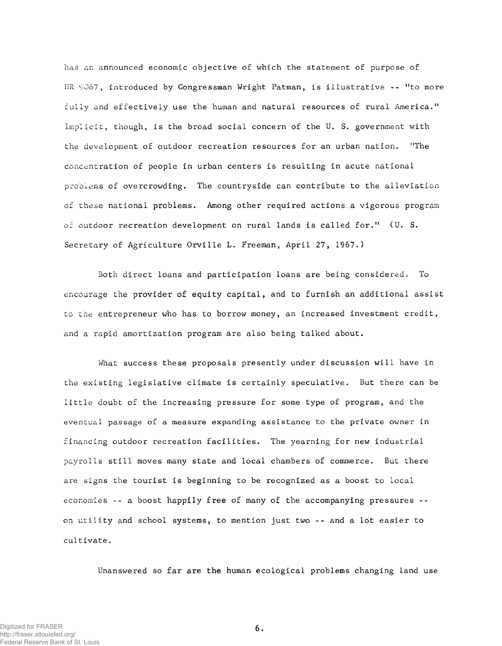has an announced economic objective of which the statement of purpose of HR 9067, introduced by Congressman Wright Patman, is illustrative -- "to more fully and effectively use the human and natural resources of rural America." Implicit, though, is the broad social concern of the U. S. government with the development of outdoor recreation resources for an urban nation. "The concentration of people in urban centers is resulting in acute national problems of overcrowding. The countryside can contribute to the alleviation of these national problems. Among other required actions a vigorous program of outdoor recreation development on rural lands is called for." (U. S. Secretary of Agriculture Orville L. Freeman, April 27, 1967.)

Both direct loans and participation loans are being considered. To encourage the provider of equity capital, and to furnish an additional assist to the entrepreneur who has to borrow money, an increased investment credit, and a rapid amortization program are also being talked about.

What success these proposals presently under discussion will have in the existing legislative climate is certainly speculative. But there can be little doubt of the increasing pressure for some type of program, and the eventual passage of a measure expanding assistance to the private owner in financing outdoor recreation facilities. The yearning for new industrial payrolls still moves many state and local chambers of commerce. But there are signs the tourist is beginning to be recognized as a boost to local economies -- a boost happily free of many of the accompanying pressures -on utility and school systems, to mention just two -- and a lot easier to cultivate.

Unanswered so far are the human ecological problems changing land use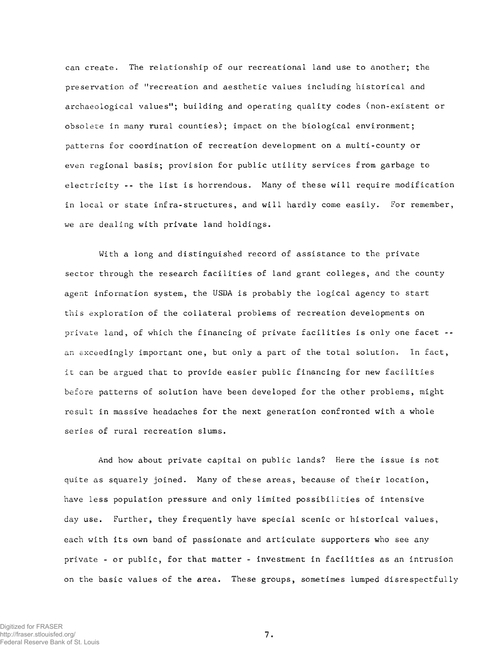can create. The relationship of our recreational land use to another; the preservation of ''recreation and aesthetic values including historical and archaeological values"; building and operating quality codes (non-existent or obsolete in many rural counties); impact on the biological environment; patterns for coordination of recreation development on a multi-county or even regional basis; provision for public utility services from garbage to electricity -- the list is horrendous. Many of these will require modification in local or state infra-structures, and will hardly come easily. For remember, we are dealing with private land holdings.

With a long and distinguished record of assistance to the private sector through the research facilities of land grant colleges, and the county agent information system, the USDA is probably the logical agency to start this exploration of the collateral problems of recreation developments on private land, of which the financing of private facilities is only one facet -an exceedingly important one, but only a part of the total solution. In fact, it can be argued that to provide easier public financing for new facilities before patterns of solution have been developed for the other problems, might result in massive headaches for the next generation confronted with a whole series of rural recreation slums.

And how about private capital on public lands? Here the issue is not quite as squarely joined. Many of these areas, because of their location, have less population pressure and only limited possibilities of intensive day use. Further, they frequently have special scenic or historical values, each with its own band of passionate and articulate supporters who see any private - or public, for that matter - investment in facilities as an intrusion on the basic values of the area. These groups, sometimes lumped disrespectfully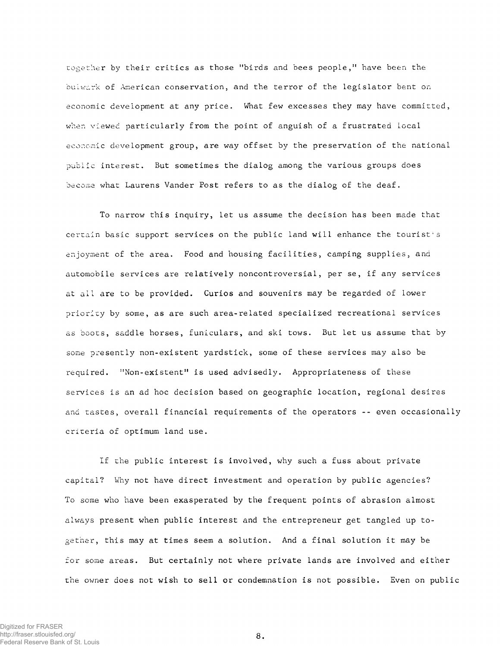together by their critics as those "birds and bees people," have been the bulwark of American conservation, and the terror of the legislator bent on economic development at any price. What few excesses they may have committed, when viewed particularly from the point of anguish of a frustrated local economic development group, are way offset by the preservation of the national public interest. But sometimes the dialog among the various groups does become what Laurens Vander Post refers to as the dialog of the deaf.

To narrow this inquiry, let us assume the decision has been made that certain basic support services on the public land will enhance the tourist's enjoyment of the area. Food and housing facilities, camping supplies, and automobile services are relatively noncontroversial, per se, if any services at all are to be provided. Curios and souvenirs may be regarded of lower priority by some, as are such area-related specialized recreational services as boots, saddle horses, funiculars, and ski tows. But let us assume that by some presently non-existent yardstick, some of these services may also be required. "Non-existent" is used advisedly. Appropriateness of these services is an ad hoc decision based on geographic location, regional desires and tastes, overall financial requirements of the operators -- even occasionally criteria of optimum land use.

If the public interest is involved, why such a fuss about private capital? Why not have direct investment and operation by public agencies? To some who have been exasperated by the frequent points of abrasion almost always present when public interest and the entrepreneur get tangled up together, this may at times seem a solution. And a final solution it may be for some areas. But certainly not where private lands are involved and either the owner does not wish to sell or condemnation is not possible. Even on public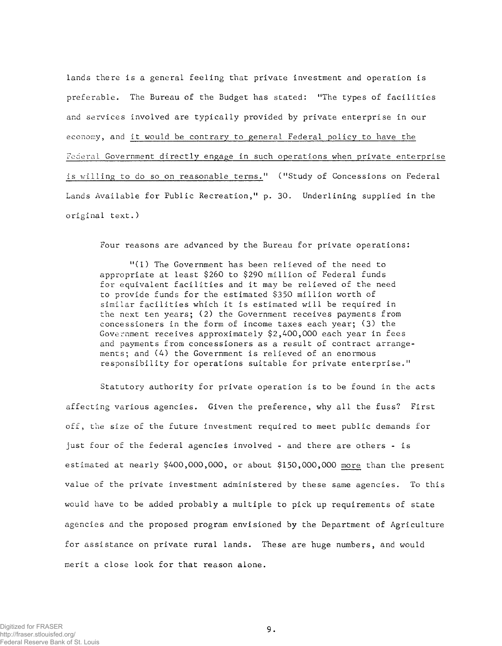lands there is a general feeling that private investment and operation is preferable. The Bureau of the Budget has stated: "The types of facilities and services involved are typically provided by private enterprise in our economy, and it would be contrary to general Federal policy to have the Federal Government directly engage in such operations when private enterprise is willing to do so on reasonable terms." ("Study of Concessions on Federal Lands Available for Public Recreation," p. 30. Underlining supplied in the original text.)

Four reasons are advanced by the Bureau for private operations:

"(1) The Government has been relieved of the need to appropriate at least \$260 to \$290 million of Federal funds for equivalent facilities and it may be relieved of the need to provide funds for the estimated \$350 million worth of similar facilities which it is estimated will be required in the next ten years; (2) the Government receives payments from concessioners in the form of income taxes each year;  $(3)$  the Government receives approximately  $$2,400,000$  each year in fees and payments from concessioners as a result of contract arrangements; and (4) the Government is relieved of an enormous responsibility for operations suitable for private enterprise."

Statutory authority for private operation is to be found in the acts affecting various agencies. Given the preference, why all the fuss? First off, the size of the future investment required to meet public demands for just four of the federal agencies involved - and there are others - is estimated at nearly \$400,000,000, or about \$150,000,000 more than the present value of the private investment administered by these same agencies. To this would have to be added probably a multiple to pick up requirements of state agencies and the proposed program envisioned by the Department of Agriculture for assistance on private rural lands. These are huge numbers, and would merit a close look for that reason alone.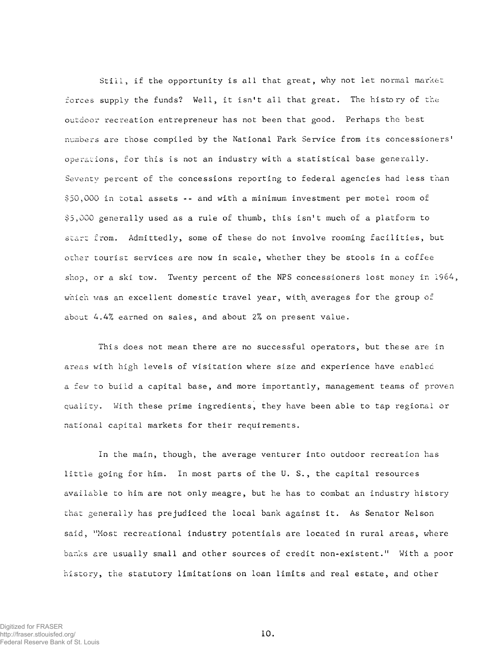Still, if the opportunity is all that great, why not let normal market forces supply the funds? Well, it isn't all that great. The history of the outdoor recreation entrepreneur has not been that good. Perhaps the best numbers are those compiled by the National Park Service from its concessioners' operations, for this is not an industry with a statistical base generally. Seventy percent of the concessions reporting to federal agencies had less than \$50,000 in total assets -- and with a minimum investment per motel room of  $$5,000$  generally used as a rule of thumb, this isn't much of a platform to start from. Admittedly, some of these do not involve rooming facilities, but other tourist services are now in scale, whether they be stools in a coffee shop, or a ski tow. Twenty percent of the NPS concessioners lost money in  $1964$ , which was an excellent domestic travel year, with averages for the group of about  $4.4\%$  earned on sales, and about  $2\%$  on present value.

This does not mean there are no successful operators, but these are in areas with high levels of visitation where size and experience have enabled a few to build a capital base, and more importantly, management teams of proven quality. With these prime ingredients, they have been able to tap regional or national capital markets for their requirements.

In the main, though, the average venturer into outdoor recreation has little going for him. In most parts of the U.S., the capital resources available to him are not only meagre, but he has to combat an industry history that generally has prejudiced the local bank against it. As Senator Nelson said, "Most recreational industry potentials are located in rural areas, where banks are usually small and other sources of credit non-existent." With a poor history, the statutory limitations on loan limits and real estate, and other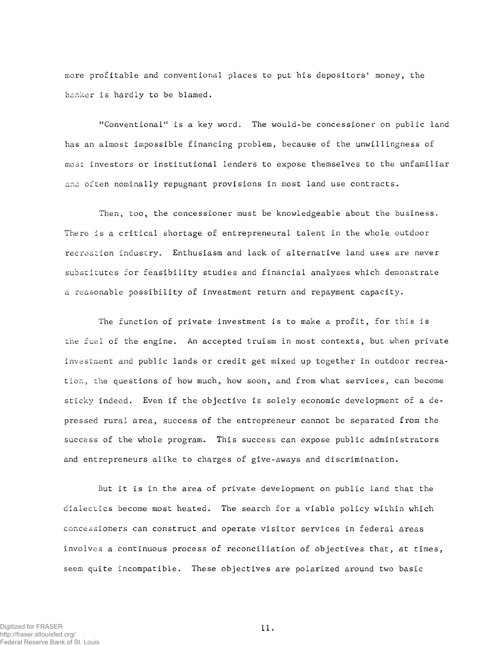more profitable and conventional places to put his depositors' money, the banker is hardly to be blamed.

"Conventional" is a key word. The would-be concessioner on public land has an almost impossible financing problem, because of the unwillingness of most investors or institutional lenders to expose themselves to the unfamiliar and often nominally repugnant provisions in most land use contracts.

Then, too, the concessioner must be knowledgeable about the business. There is a critical shortage of entrepreneural talent in the whole outdoor recreation industry. Enthusiasm and lack of alternative land uses are never substitutes for feasibility studies and financial analyses which demonstrate a reasonable possibility of investment return and repayment capacity.

The function of private investment is to make a profit, for this is the fuel of the engine. An accepted truism in most contexts, but when private investment and public lands or credit get mixed up together in outdoor recreation, the questions of how much, how soon, and from what services, can become sticky indeed. Even if the objective is solely economic development of a depressed rural area, success of the entrepreneur cannot be separated from the success of the whole program. This success can expose public administrators and entrepreneurs alike to charges of give-aways and discrimination.

But it is in the area of private development on public land that the dialectics become most heated. The search for a viable policy within which concessioners can construct and operate visitor services in federal areas involves a continuous process of reconciliation of objectives that, at times, seem quite incompatible. These objectives are polarized around two basic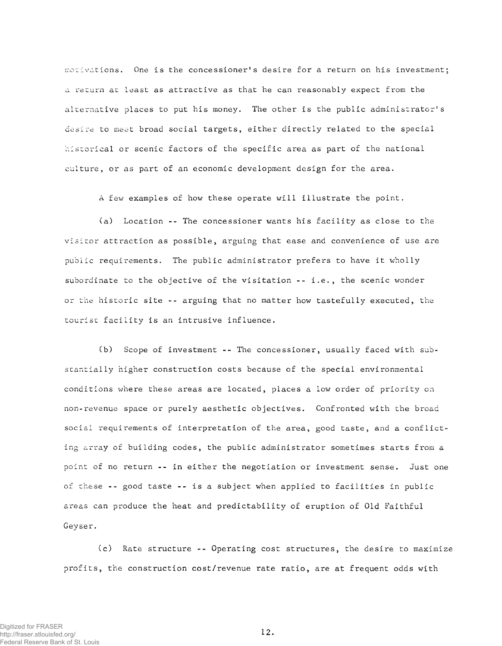motivations. One is the concessioner's desire for a return on his investment; a return at least as attractive as that he can reasonably expect from the alternative places to put his money. The other is the public administrator's desire to meet broad social targets, either directly related to the special historical or scenic factors of the specific area as part of the national culture, or as part of an economic development design for the area.

A few examples of how these operate will illustrate the point.

(a) Location -- The concessioner wants his facility as close to the visitor attraction as possible, arguing that ease and convenience of use are public requirements. The public administrator prefers to have it wholly subordinate to the objective of the visitation  $- - i.e.,$  the scenic wonder or the historic site -- arguing that no matter how tastefully executed, the tourist facility is an intrusive influence.

(b) Scope of investment -- The concessioner, usually faced with substantially higher construction costs because of the special environmental conditions where these areas are located, places a low order of priority on non-revenue space or purely aesthetic objectives. Confronted with the broad social requirements of interpretation of the area, good taste, and a conflicting array of building codes, the public administrator sometimes starts from a point of no return -- in either the negotiation or investment sense. Just one of these -- good taste -- is a subject when applied to facilities in public areas can produce the heat and predictability of eruption of Old Faithful Geyser.

(c) Rate structure -- Operating cost structures, the desire to maximize profits, the construction cost/revenue rate ratio, are at frequent odds with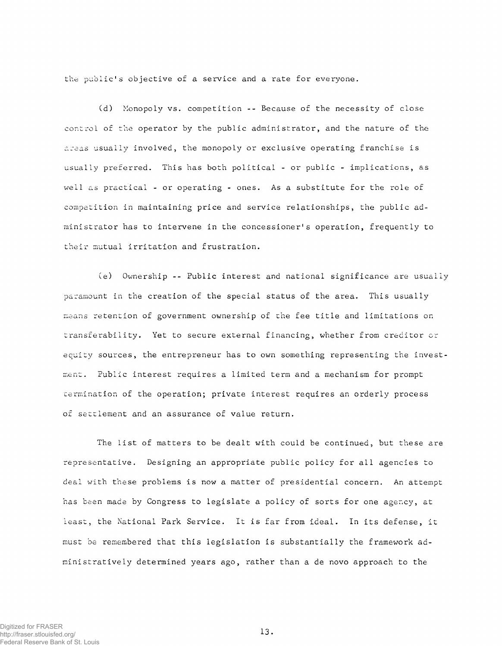the public's objective of a service and a rate for everyone.

(d) Monopoly vs. competition -- Because of the necessity of close control of the operator by the public administrator, and the nature of the areas usually involved, the monopoly or exclusive operating franchise is usually preferred. This has both political - or public - implications, as well as practical - or operating - ones. As a substitute for the role of competition in maintaining price and service relationships, the public administrator has to intervene in the concessioner's operation, frequently to their mutual irritation and frustration.

(e) Ownership -- Public interest and national significance are usually paramount in the creation of the special status of the area. This usually means retention of government ownership of the fee title and limitations on transferability. Yet to secure external financing, whether from creditor or equity sources, the entrepreneur has to own something representing the investment. Public interest requires a limited term and a mechanism for prompt termination of the operation; private interest requires an orderly process of settlement and an assurance of value return.

The list of matters to be dealt with could be continued, but these are representative. Designing an appropriate public policy for all agencies to deal with these problems is now a matter of presidential concern. An attempt has been made by Congress to legislate a policy of sorts for one agency, at least, the National Park Service. It is far from ideal. In its defense, it must be remembered that this legislation is substantially the framework administratively determined years ago, rather than a de novo approach to the

Digitized for FRASER http://fraser.stlouisfed.org/ Federal Reserve Bank of St. Louis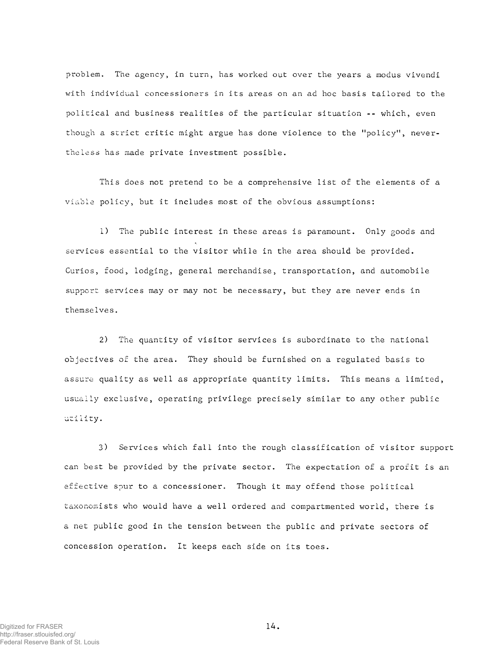problem. The agency, in turn, has worked out over the years a modus vivendi with individual *concessioners* in its areas on an ad hoc basis tailored to the political and business realities of the particular situation -- which, even though a strict critic might argue has done violence to the "policy", nevertheless has made private investment possible.

This does not pretend to be a comprehensive list of the elements of a viable policy, but it includes most of the obvious assumptions:

1) The public interest in these areas is paramount. Only goods and services essential to the visitor while in the area should be provided. Curios, food, lodging, general merchandise, transportation, and automobile support services may or may not be necessary, but they are never ends in themselves.

2) The quantity of visitor services is subordinate to the national objectives of the area. They should be furnished on a regulated basis to assure quality as well as appropriate quantity limits. This means a limited, usually exclusive, operating privilege precisely similar to any other public utility.

3) Services which fall into the rough classification of visitor support can best be provided by the private sector. The expectation of a profit is an effective spur to a concessioner. Though it may offend those political taxonomists who would have a well ordered and compartmented world, there is a net public good in the tension between the public and private sectors of concession operation. It keeps each side on its toes.

Digitized for FRASER http://fraser.stlouisfed.org/ Federal Reserve Bank of St. Louis 1 4.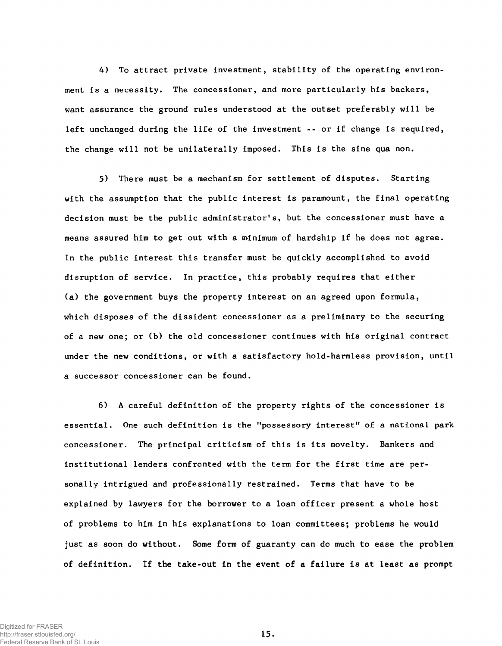4) To attract private investment, stability of the operating environment is a necessity. The concessioner, and more particularly his backers, want assurance the ground rules understood at the outset preferably will be left unchanged during the life of the investment -- or if change is required, the change will not be unilaterally imposed. This is the sine qua non.

5) There must be a mechanism for settlement of disputes. Starting with the assumption that the public interest is paramount, the final operating decision must be the public administrator's, but the concessioner must have a means assured him to get out with a minimum of hardship if he does not agree. In the public interest this transfer must be quickly accomplished to avoid disruption of service. In practice, this probably requires that either (a) the government buys the property interest on an agreed upon formula, which disposes of the dissident concessioner as a preliminary to the securing of a new one; or (b) the old concessioner continues with his original contract under the new conditions, or with a satisfactory hold-harmless provision, until a successor concessioner can be found.

6) A careful definition of the property rights of the concessioner is essential. One such definition is the "possessory interest" of a national park concessioner. The principal criticism of this is its novelty. Bankers and institutional lenders confronted with the term for the first time are personally intrigued and professionally restrained. Terms that have to be explained by lawyers for the borrower to a loan officer present a whole host of problems to him in his explanations to loan committees; problems he would just as soon do without. Some form of guaranty can do much to ease the problem of definition. If the take-out in the event of a failure is at least as prompt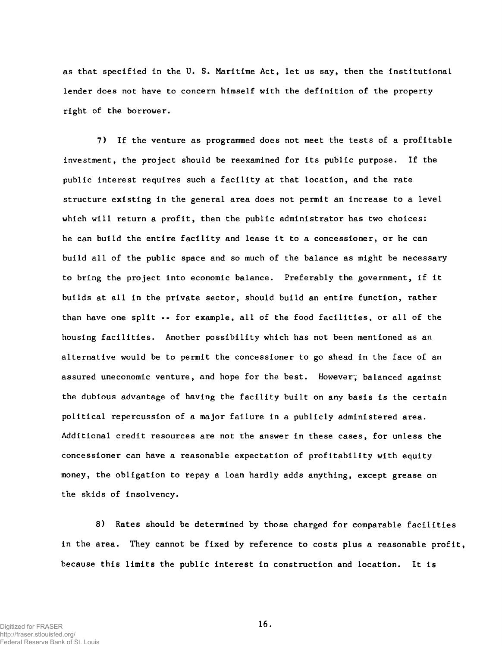as that specified in the U. S. Maritime Act, let us say, then the institutional lender does not have to concern himself with the definition of the property right of the borrower.

7) If the venture as programmed does not meet the tests of a profitable investment, the project should be reexamined for its public purpose. If the public interest requires such a facility at that location, and the rate structure existing in the general area does not permit an increase to a level which will return a profit, then the public administrator has two choices: he can build the entire facility and lease it to a concessioner, or he can build all of the public space and so much of the balance as might be necessary to bring the project into economic balance. Preferably the government, if it builds at all in the private sector, should build an entire function, rather than have one split -- for example, all of the food facilities, or all of the housing facilities. Another possibility which has not been mentioned as an alternative would be to permit the concessioner to go ahead in the face of an assured uneconomic venture, and hope for the best. However, balanced against the dubious advantage of having the facility built on any basis is the certain political repercussion of a major failure in a publicly administered area. Additional credit resources are not the answer in these cases, for unless the concessioner can have a reasonable expectation of profitability with equity money, the obligation to repay a loan hardly adds anything, except grease on the skids of insolvency.

8) Rates should be determined by those charged for comparable facilities in the area. They cannot be fixed by reference to costs plus a reasonable profit, because this limits the public interest in construction and location. It is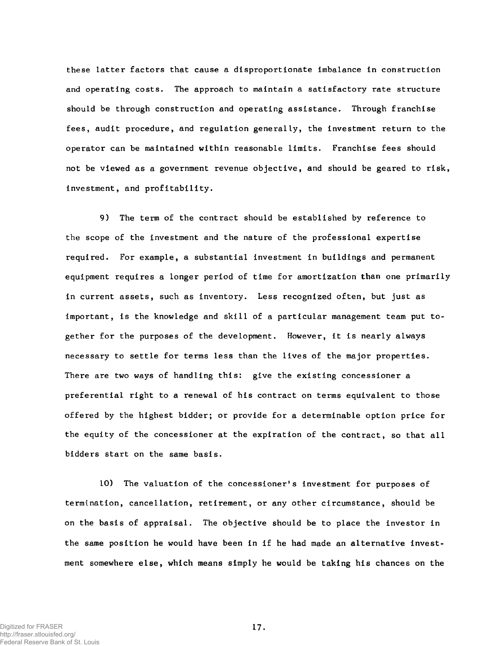these latter factors that cause a disproportionate imbalance in construction and operating costs. The approach to maintain a satisfactory rate structure should be through construction and operating assistance. Through franchise fees, audit procedure, and regulation generally, the investment return to the operator can be maintained within reasonable limits. Franchise fees should not be viewed as a government revenue objective, and should be geared to risk, investment, and profitability.

9) The term of the contract should be established by reference to the scope of the investment and the nature of the professional expertise required. For example, a substantial investment in buildings and permanent equipment requires a longer period of time for amortization than one primarily in current assets, such as inventory. Less recognized often, but just as important, is the knowledge and skill of a particular management team put together for the purposes of the development. However, it is nearly always necessary to settle for terms less than the lives of the major properties. There are two ways of handling this: give the existing concessioner a preferential right to a renewal of his contract on terms equivalent to those offered by the highest bidder; or provide for a determinable option price for the equity of the concessioner at the expiration of the contract, so that all bidders start on the same basis.

10) The valuation of the concessioner's investment for purposes of termination, cancellation, retirement, or any other circumstance, should be on the basis of appraisal. The objective should be to place the investor in the same position he would have been in if he had made an alternative investment somewhere else, which means simply he would be taking his chances on the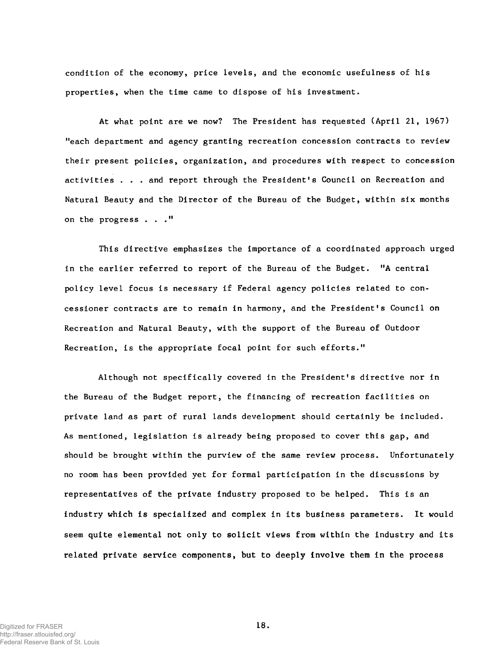condition of the economy, price levels, and the economic usefulness of his properties, when the time came to dispose of his investment.

At what point are we now? The President has requested (April 21, 1967) "each department and agency granting recreation concession contracts to review their present policies, organization, and procedures with respect to concession activities  $\ldots$  and report through the President's Council on Recreation and Natural Beauty and the Director of the Bureau of the Budget, within six months on the progress  $\ldots$ ."

This directive emphasizes the importance of a coordinated approach urged in the earlier referred to report of the Bureau of the Budget. "A central policy level focus is necessary if Federal agency policies related to concessioner contracts are to remain in harmony, and the President's Council on Recreation and Natural Beauty, with the support of the Bureau of Outdoor Recreation, is the appropriate focal point for such efforts."

Although not specifically covered in the President's directive nor in the Bureau of the Budget report, the financing of recreation facilities on private land as part of rural lands development should certainly be included. As mentioned, legislation is already being proposed to cover this gap, and should be brought within the purview of the same review process. Unfortunately no room has been provided yet for formal participation in the discussions by representatives of the private industry proposed to be helped. This is an industry which is specialized and complex in its business parameters. It would seem quite elemental not only to solicit views from within the industry and its related private service components, but to deeply involve them in the process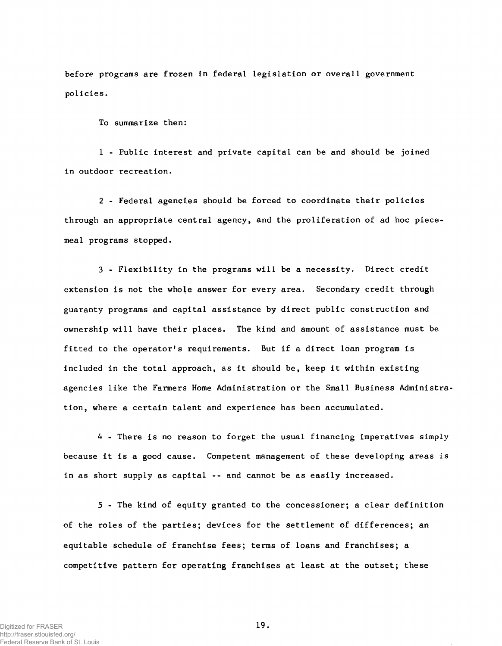before programs are frozen in federal legislation or overall government policies.

To summarize then:

1 - Public interest and private capital can be and should be joined in outdoor recreation.

2 - Federal agencies should be forced to coordinate their policies through an appropriate central agency, and the proliferation of ad hoc piecemeal programs stopped.

3 - Flexibility in the programs will be a necessity. Direct credit extension is not the whole answer for every area. Secondary credit through guaranty programs and capital assistance by direct public construction and ownership will have their places. The kind and amount of assistance must be fitted to the operator's requirements. But if a direct loan program is included in the total approach, as it should be, keep it within existing agencies like the Farmers Home Administration or the Small Business Administra tion, where a certain talent and experience has been accumulated.

4 - There is no reason to forget the usual financing imperatives simply because it is a good cause. Competent management of these developing areas is in as short supply as capital -- and cannot be as easily increased.

5 - The kind of equity granted to the concessioner; a clear definition of the roles of the parties; devices for the settlement of differences; an equitable schedule of franchise fees; terms of loans and franchises; a competitive pattern for operating franchises at least at the outset; these